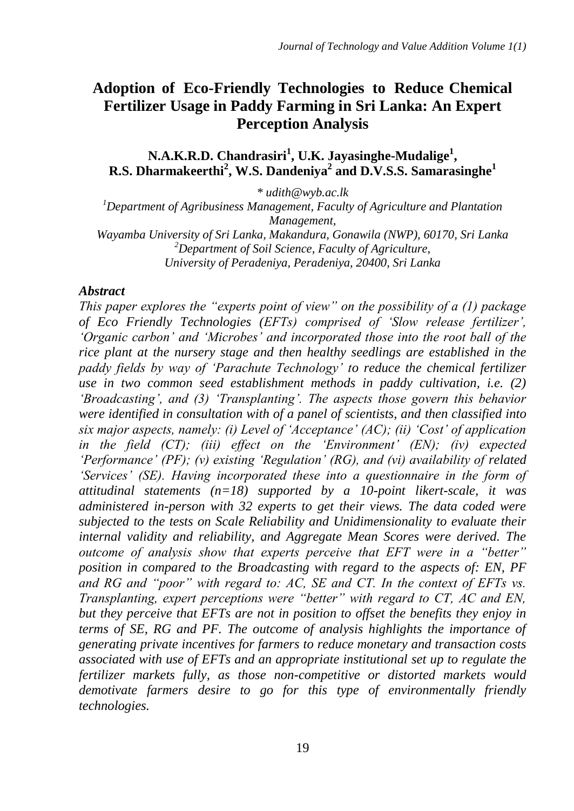# **Adoption of Eco-Friendly Technologies to Reduce Chemical Fertilizer Usage in Paddy Farming in Sri Lanka: An Expert Perception Analysis**

**N.A.K.R.D. Chandrasiri<sup>1</sup> , U.K. Jayasinghe-Mudalige<sup>1</sup> , R.S. Dharmakeerthi<sup>2</sup> , W.S. Dandeniya<sup>2</sup> and D.V.S.S. Samarasinghe<sup>1</sup>**

*\* udith@wyb.ac.lk*

*<sup>1</sup>Department of Agribusiness Management, Faculty of Agriculture and Plantation Management,*

*Wayamba University of Sri Lanka, Makandura, Gonawila (NWP), 60170, Sri Lanka <sup>2</sup>Department of Soil Science, Faculty of Agriculture, University of Peradeniya, Peradeniya, 20400, Sri Lanka*

#### *Abstract*

*This paper explores the "experts point of view" on the possibility of a (1) package of Eco Friendly Technologies (EFTs) comprised of "Slow release fertilizer", "Organic carbon" and "Microbes" and incorporated those into the root ball of the rice plant at the nursery stage and then healthy seedlings are established in the paddy fields by way of "Parachute Technology" to reduce the chemical fertilizer use in two common seed establishment methods in paddy cultivation, i.e. (2) "Broadcasting", and (3) "Transplanting". The aspects those govern this behavior were identified in consultation with of a panel of scientists, and then classified into six major aspects, namely: (i) Level of "Acceptance" (AC); (ii) "Cost" of application in the field (CT); (iii) effect on the "Environment" (EN); (iv) expected "Performance" (PF); (v) existing "Regulation" (RG), and (vi) availability of related "Services" (SE). Having incorporated these into a questionnaire in the form of attitudinal statements (n=18) supported by a 10-point likert-scale, it was administered in-person with 32 experts to get their views. The data coded were subjected to the tests on Scale Reliability and Unidimensionality to evaluate their internal validity and reliability, and Aggregate Mean Scores were derived. The outcome of analysis show that experts perceive that EFT were in a "better" position in compared to the Broadcasting with regard to the aspects of: EN, PF and RG and "poor" with regard to: AC, SE and CT. In the context of EFTs vs. Transplanting, expert perceptions were "better" with regard to CT, AC and EN, but they perceive that EFTs are not in position to offset the benefits they enjoy in terms of SE, RG and PF. The outcome of analysis highlights the importance of generating private incentives for farmers to reduce monetary and transaction costs associated with use of EFTs and an appropriate institutional set up to regulate the fertilizer markets fully, as those non-competitive or distorted markets would demotivate farmers desire to go for this type of environmentally friendly technologies.*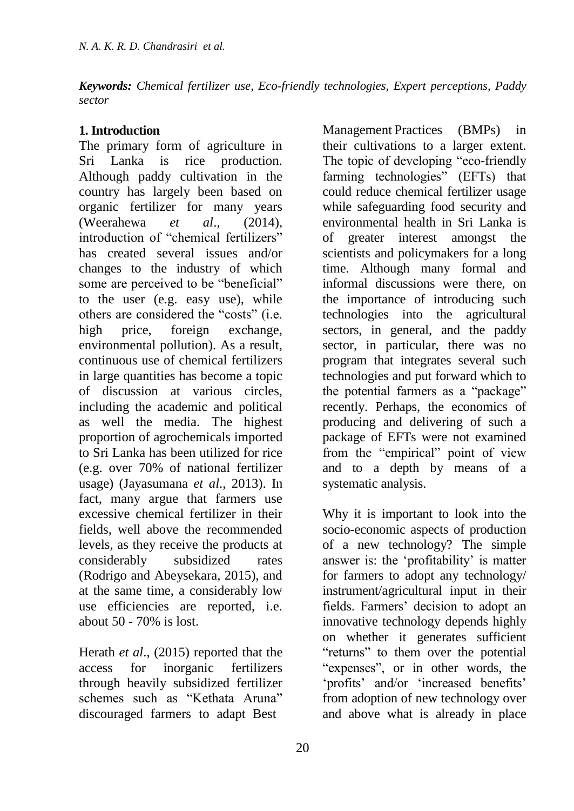*Keywords: Chemical fertilizer use, Eco-friendly technologies, Expert perceptions, Paddy sector*

## **1. Introduction**

The primary form of agriculture in Sri Lanka is rice production. Although paddy cultivation in the country has largely been based on organic fertilizer for many years (Weerahewa *et al*., (2014), introduction of "chemical fertilizers" has created several issues and/or changes to the industry of which some are perceived to be "beneficial" to the user (e.g. easy use), while others are considered the "costs" (i.e. high price, foreign exchange, environmental pollution). As a result, continuous use of chemical fertilizers in large quantities has become a topic of discussion at various circles, including the academic and political as well the media. The highest proportion of agrochemicals imported to Sri Lanka has been utilized for rice (e.g. over 70% of national fertilizer usage) (Jayasumana *et al*., 2013). In fact, many argue that farmers use excessive chemical fertilizer in their fields, well above the recommended levels, as they receive the products at considerably subsidized rates (Rodrigo and Abeysekara, 2015), and at the same time, a considerably low use efficiencies are reported, i.e. about 50 - 70% is lost.

Herath *et al*., (2015) reported that the access for inorganic fertilizers through heavily subsidized fertilizer schemes such as "Kethata Aruna" discouraged farmers to adapt Best

Management Practices (BMPs) in their cultivations to a larger extent. The topic of developing "eco-friendly" farming technologies" (EFTs) that could reduce chemical fertilizer usage while safeguarding food security and environmental health in Sri Lanka is of greater interest amongst the scientists and policymakers for a long time. Although many formal and informal discussions were there, on the importance of introducing such technologies into the agricultural sectors, in general, and the paddy sector, in particular, there was no program that integrates several such technologies and put forward which to the potential farmers as a "package" recently. Perhaps, the economics of producing and delivering of such a package of EFTs were not examined from the "empirical" point of view and to a depth by means of a systematic analysis.

Why it is important to look into the socio-economic aspects of production of a new technology? The simple answer is: the 'profitability' is matter for farmers to adopt any technology/ instrument/agricultural input in their fields. Farmers' decision to adopt an innovative technology depends highly on whether it generates sufficient "returns" to them over the potential "expenses", or in other words, the ‗profits' and/or ‗increased benefits' from adoption of new technology over and above what is already in place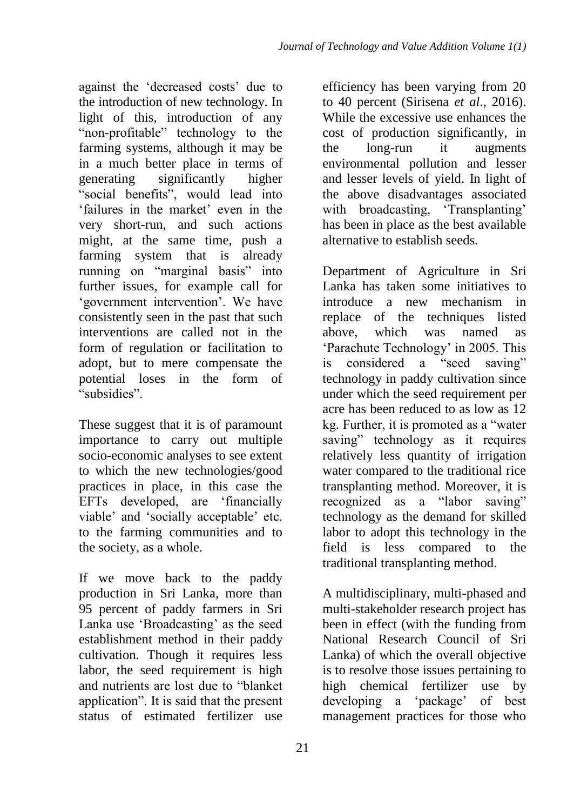against the 'decreased costs' due to the introduction of new technology. In light of this, introduction of any "non-profitable" technology to the farming systems, although it may be in a much better place in terms of generating significantly higher "social benefits", would lead into ‗failures in the market' even in the very short-run, and such actions might, at the same time, push a farming system that is already running on "marginal basis" into further issues, for example call for ‗government intervention'. We have consistently seen in the past that such interventions are called not in the form of regulation or facilitation to adopt, but to mere compensate the potential loses in the form of "subsidies"

These suggest that it is of paramount importance to carry out multiple socio-economic analyses to see extent to which the new technologies/good practices in place, in this case the EFTs developed, are 'financially viable' and 'socially acceptable' etc. to the farming communities and to the society, as a whole.

If we move back to the paddy production in Sri Lanka, more than 95 percent of paddy farmers in Sri Lanka use 'Broadcasting' as the seed establishment method in their paddy cultivation. Though it requires less labor, the seed requirement is high and nutrients are lost due to "blanket" application". It is said that the present status of estimated fertilizer use efficiency has been varying from 20 to 40 percent (Sirisena *et al*., 2016). While the excessive use enhances the cost of production significantly, in the long-run it augments environmental pollution and lesser and lesser levels of yield. In light of the above disadvantages associated with broadcasting, 'Transplanting' has been in place as the best available alternative to establish seeds.

Department of Agriculture in Sri Lanka has taken some initiatives to introduce a new mechanism in replace of the techniques listed above, which was named as ‗Parachute Technology' in 2005. This is considered a "seed saving" technology in paddy cultivation since under which the seed requirement per acre has been reduced to as low as 12 kg. Further, it is promoted as a "water" saving" technology as it requires relatively less quantity of irrigation water compared to the traditional rice transplanting method. Moreover, it is recognized as a "labor saving" technology as the demand for skilled labor to adopt this technology in the field is less compared to the traditional transplanting method.

A multidisciplinary, multi-phased and multi-stakeholder research project has been in effect (with the funding from National Research Council of Sri Lanka) of which the overall objective is to resolve those issues pertaining to high chemical fertilizer use by developing a 'package' of best management practices for those who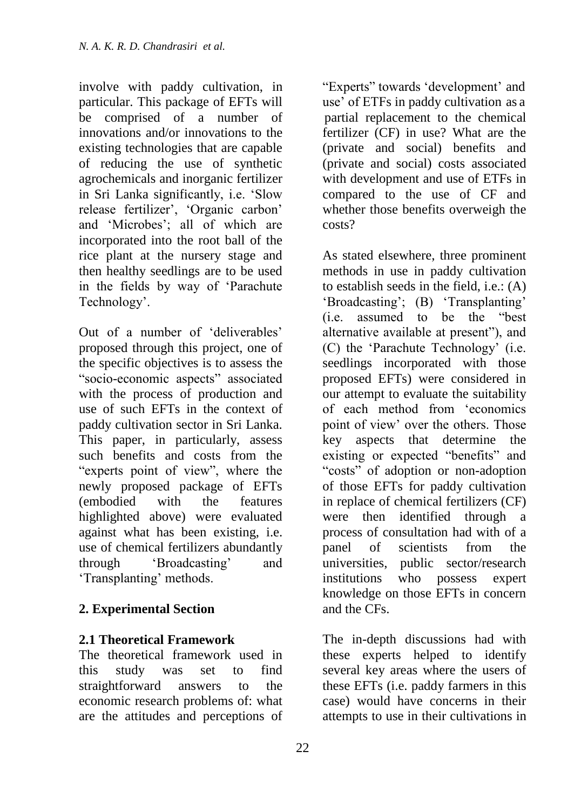involve with paddy cultivation, in particular. This package of EFTs will be comprised of a number of innovations and/or innovations to the existing technologies that are capable of reducing the use of synthetic agrochemicals and inorganic fertilizer in Sri Lanka significantly, i.e. 'Slow release fertilizer', ‗Organic carbon' and 'Microbes'; all of which are incorporated into the root ball of the rice plant at the nursery stage and then healthy seedlings are to be used in the fields by way of 'Parachute Technology'.

Out of a number of ‗deliverables' proposed through this project, one of the specific objectives is to assess the "socio-economic aspects" associated with the process of production and use of such EFTs in the context of paddy cultivation sector in Sri Lanka. This paper, in particularly, assess such benefits and costs from the "experts point of view", where the newly proposed package of EFTs (embodied with the features highlighted above) were evaluated against what has been existing, i.e. use of chemical fertilizers abundantly through *S*roadcasting' and ‗Transplanting' methods.

# **2. Experimental Section**

### **2.1 Theoretical Framework**

The theoretical framework used in this study was set to find straightforward answers to the economic research problems of: what are the attitudes and perceptions of

―Experts‖ towards ‗development' and use' of ETFs in paddy cultivation as a partial replacement to the chemical fertilizer (CF) in use? What are the (private and social) benefits and (private and social) costs associated with development and use of ETFs in compared to the use of CF and whether those benefits overweigh the costs?

As stated elsewhere, three prominent methods in use in paddy cultivation to establish seeds in the field, i.e.: (A) 'Broadcasting'; (B) 'Transplanting' (i.e. assumed to be the "best" alternative available at present"), and (C) the 'Parachute Technology' (i.e. seedlings incorporated with those proposed EFTs) were considered in our attempt to evaluate the suitability of each method from ‗economics point of view' over the others. Those key aspects that determine the existing or expected "benefits" and "costs" of adoption or non-adoption of those EFTs for paddy cultivation in replace of chemical fertilizers (CF) were then identified through a process of consultation had with of a panel of scientists from the universities, public sector/research institutions who possess expert knowledge on those EFTs in concern and the CFs.

The in-depth discussions had with these experts helped to identify several key areas where the users of these EFTs (i.e. paddy farmers in this case) would have concerns in their attempts to use in their cultivations in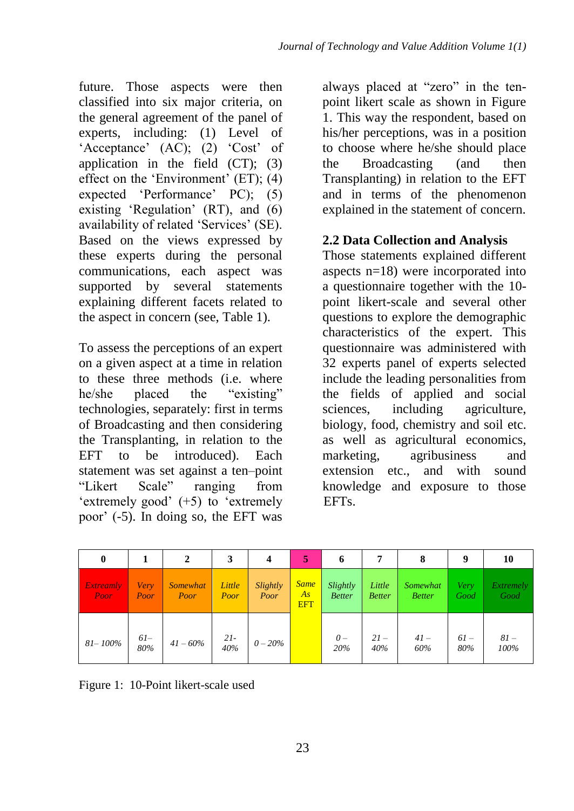future. Those aspects were then classified into six major criteria, on the general agreement of the panel of experts, including: (1) Level of 'Acceptance' (AC); (2) 'Cost' of application in the field  $(CT)$ ;  $(3)$ effect on the 'Environment'  $(ET)$ ;  $(4)$ expected 'Performance' PC); (5) existing 'Regulation'  $(RT)$ , and  $(6)$ availability of related 'Services' (SE). Based on the views expressed by these experts during the personal communications, each aspect was supported by several statements explaining different facets related to the aspect in concern (see, Table 1).

To assess the perceptions of an expert on a given aspect at a time in relation to these three methods (i.e. where he/she placed the "existing" technologies, separately: first in terms of Broadcasting and then considering the Transplanting, in relation to the EFT to be introduced). Each statement was set against a ten–point ―Likert Scale‖ ranging from 'extremely good'  $(+5)$  to 'extremely poor' (-5). In doing so, the EFT was

always placed at "zero" in the tenpoint likert scale as shown in Figure 1. This way the respondent, based on his/her perceptions, was in a position to choose where he/she should place the Broadcasting (and then Transplanting) in relation to the EFT and in terms of the phenomenon explained in the statement of concern.

## **2.2 Data Collection and Analysis**

Those statements explained different aspects n=18) were incorporated into a questionnaire together with the 10 point likert-scale and several other questions to explore the demographic characteristics of the expert. This questionnaire was administered with 32 experts panel of experts selected include the leading personalities from the fields of applied and social sciences, including agriculture, biology, food, chemistry and soil etc. as well as agricultural economics, marketing, agribusiness and extension etc., and with sound knowledge and exposure to those EFTs.

| 0                        |              |                         |                | 4                | 5                               | 6                         | 7                       | 8                         | 9            | 10                       |
|--------------------------|--------------|-------------------------|----------------|------------------|---------------------------------|---------------------------|-------------------------|---------------------------|--------------|--------------------------|
| <b>Extreamly</b><br>Poor | Very<br>Poor | <i>Somewhat</i><br>Poor | Little<br>Poor | Slightly<br>Poor | <b>Same</b><br>As<br><b>EFT</b> | Slightly<br><b>Better</b> | Little<br><b>Better</b> | Somewhat<br><b>Better</b> | Very<br>Good | <b>Extremely</b><br>Good |
| 81-100%                  | $6l-$<br>80% | $41 - 60\%$             | $21 -$<br>40%  | $0 - 20\%$       |                                 | $\theta -$<br>20%         | $21-$<br>40%            | $41-$<br>60%              | $61-$<br>80% | $81-$<br>100%            |

Figure 1: 10-Point likert-scale used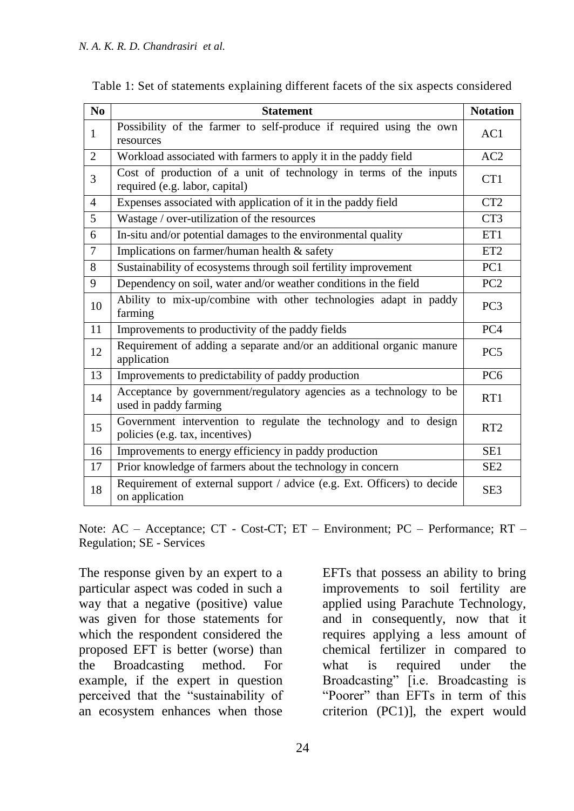| N <sub>0</sub> | <b>Statement</b>                                                                                    | <b>Notation</b>  |
|----------------|-----------------------------------------------------------------------------------------------------|------------------|
| 1              | Possibility of the farmer to self-produce if required using the own<br>resources                    | AC1              |
| $\overline{2}$ | Workload associated with farmers to apply it in the paddy field                                     | AC2              |
| 3              | Cost of production of a unit of technology in terms of the inputs<br>required (e.g. labor, capital) | C <sub>T</sub> 1 |
| $\overline{4}$ | Expenses associated with application of it in the paddy field                                       | CT2              |
| 5              | Wastage / over-utilization of the resources                                                         | CT <sub>3</sub>  |
| 6              | In-situ and/or potential damages to the environmental quality                                       | ET1              |
| $\overline{7}$ | Implications on farmer/human health & safety                                                        | ET <sub>2</sub>  |
| 8              | Sustainability of ecosystems through soil fertility improvement                                     | PC <sub>1</sub>  |
| 9              | Dependency on soil, water and/or weather conditions in the field                                    | PC <sub>2</sub>  |
| 10             | Ability to mix-up/combine with other technologies adapt in paddy<br>farming                         | PC <sub>3</sub>  |
| 11             | Improvements to productivity of the paddy fields                                                    | PC <sub>4</sub>  |
| 12             | Requirement of adding a separate and/or an additional organic manure<br>application                 | PC <sub>5</sub>  |
| 13             | Improvements to predictability of paddy production                                                  | PC <sub>6</sub>  |
| 14             | Acceptance by government/regulatory agencies as a technology to be<br>used in paddy farming         | RT1              |
| 15             | Government intervention to regulate the technology and to design<br>policies (e.g. tax, incentives) | RT <sub>2</sub>  |
| 16             | Improvements to energy efficiency in paddy production                                               | SE <sub>1</sub>  |
| 17             | Prior knowledge of farmers about the technology in concern                                          | SE <sub>2</sub>  |
| 18             | Requirement of external support / advice (e.g. Ext. Officers) to decide<br>on application           | SE <sub>3</sub>  |

| Table 1: Set of statements explaining different facets of the six aspects considered |  |  |  |
|--------------------------------------------------------------------------------------|--|--|--|
|--------------------------------------------------------------------------------------|--|--|--|

Note: AC – Acceptance; CT - Cost-CT; ET – Environment; PC – Performance; RT – Regulation; SE - Services

The response given by an expert to a particular aspect was coded in such a way that a negative (positive) value was given for those statements for which the respondent considered the proposed EFT is better (worse) than the Broadcasting method. For example, if the expert in question perceived that the "sustainability of an ecosystem enhances when those

EFTs that possess an ability to bring improvements to soil fertility are applied using Parachute Technology, and in consequently, now that it requires applying a less amount of chemical fertilizer in compared to what is required under the Broadcasting" [i.e. Broadcasting is "Poorer" than EFTs in term of this criterion (PC1)], the expert would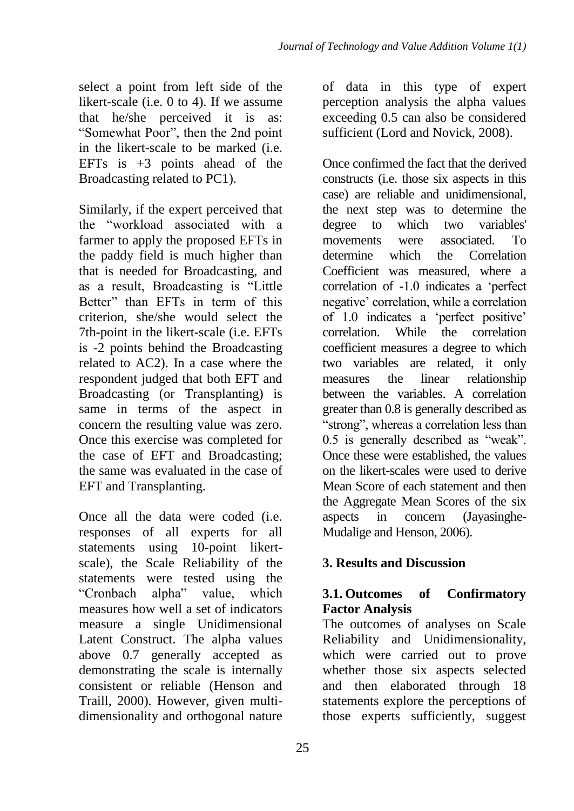select a point from left side of the likert-scale (i.e. 0 to 4). If we assume that he/she perceived it is as: "Somewhat Poor", then the 2nd point in the likert-scale to be marked (i.e. EFTs is  $+3$  points ahead of the Broadcasting related to PC1).

Similarly, if the expert perceived that the "workload associated with a farmer to apply the proposed EFTs in the paddy field is much higher than that is needed for Broadcasting, and as a result, Broadcasting is "Little" Better" than EFTs in term of this criterion, she/she would select the 7th-point in the likert-scale (i.e. EFTs is -2 points behind the Broadcasting related to AC2). In a case where the respondent judged that both EFT and Broadcasting (or Transplanting) is same in terms of the aspect in concern the resulting value was zero. Once this exercise was completed for the case of EFT and Broadcasting; the same was evaluated in the case of EFT and Transplanting.

Once all the data were coded (i.e. responses of all experts for all statements using 10-point likertscale), the Scale Reliability of the statements were tested using the "Cronbach alpha" value, which measures how well a set of indicators measure a single Unidimensional Latent Construct. The alpha values above 0.7 generally accepted as demonstrating the scale is internally consistent or reliable (Henson and Traill, 2000). However, given multidimensionality and orthogonal nature

of data in this type of expert perception analysis the alpha values exceeding 0.5 can also be considered sufficient (Lord and Novick, 2008).

Once confirmed the fact that the derived constructs (i.e. those six aspects in this case) are reliable and unidimensional, the next step was to determine the degree to which two variables' movements were associated. To determine which the Correlation Coefficient was measured, where a correlation of -1.0 indicates a 'perfect negative' correlation, while a correlation of 1.0 indicates a 'perfect positive' correlation. While the correlation coefficient measures a degree to which two variables are related, it only measures the linear relationship between the variables. A correlation greater than 0.8 is generally described as "strong", whereas a correlation less than 0.5 is generally described as "weak". Once these were established, the values on the likert-scales were used to derive Mean Score of each statement and then the Aggregate Mean Scores of the six aspects in concern (Jayasinghe-Mudalige and Henson, 2006).

# **3. Results and Discussion**

## **3.1. Outcomes of Confirmatory Factor Analysis**

The outcomes of analyses on Scale Reliability and Unidimensionality, which were carried out to prove whether those six aspects selected and then elaborated through 18 statements explore the perceptions of those experts sufficiently, suggest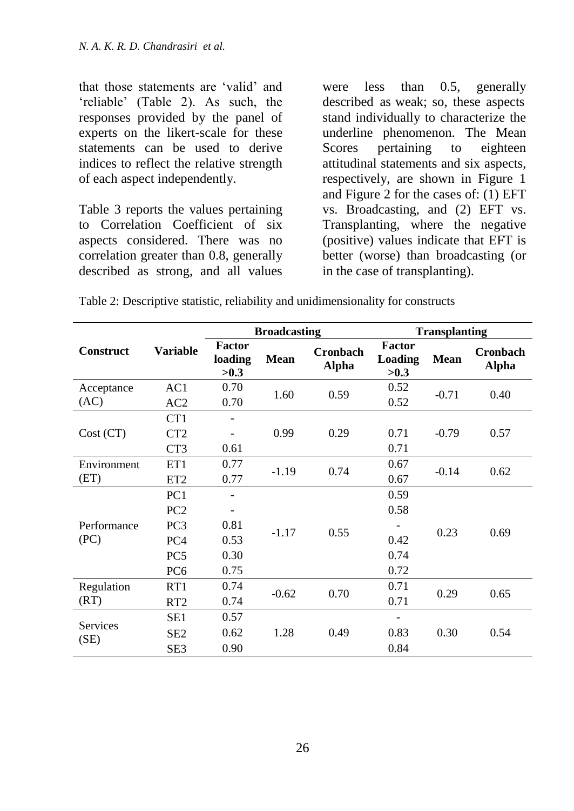that those statements are 'valid' and ‗reliable' (Table 2). As such, the responses provided by the panel of experts on the likert-scale for these statements can be used to derive indices to reflect the relative strength of each aspect independently.

Table 3 reports the values pertaining to Correlation Coefficient of six aspects considered. There was no correlation greater than 0.8, generally described as strong, and all values were less than 0.5, generally described as weak; so, these aspects stand individually to characterize the underline phenomenon. The Mean Scores pertaining to eighteen attitudinal statements and six aspects, respectively, are shown in Figure 1 and Figure 2 for the cases of: (1) EFT vs. Broadcasting, and (2) EFT vs. Transplanting, where the negative (positive) values indicate that EFT is better (worse) than broadcasting (or in the case of transplanting).

Table 2: Descriptive statistic, reliability and unidimensionality for constructs

|                         | <b>Variable</b> |                                  | <b>Broadcasting</b> |                                 | <b>Transplanting</b>                    |             |                                 |
|-------------------------|-----------------|----------------------------------|---------------------|---------------------------------|-----------------------------------------|-------------|---------------------------------|
| <b>Construct</b>        |                 | <b>Factor</b><br>loading<br>>0.3 | <b>Mean</b>         | <b>Cronbach</b><br><b>Alpha</b> | <b>Factor</b><br><b>Loading</b><br>>0.3 | <b>Mean</b> | <b>Cronbach</b><br><b>Alpha</b> |
| Acceptance              | AC1             | 0.70                             | 1.60                | 0.59                            | 0.52                                    | $-0.71$     | 0.40                            |
| (AC)                    | AC2             | 0.70                             |                     |                                 | 0.52                                    |             |                                 |
|                         | CT <sub>1</sub> |                                  |                     |                                 |                                         |             |                                 |
| Cost (CT)               | CT2             |                                  | 0.99                | 0.29                            | 0.71                                    | $-0.79$     | 0.57                            |
|                         | CT <sub>3</sub> | 0.61                             |                     |                                 | 0.71                                    |             |                                 |
| Environment             | ET1             | 0.77                             | $-1.19$             |                                 | 0.67                                    | $-0.14$     | 0.62                            |
| (ET)                    | ET <sub>2</sub> | 0.77                             |                     | 0.74                            | 0.67                                    |             |                                 |
|                         | PC <sub>1</sub> |                                  |                     |                                 | 0.59                                    | 0.23        |                                 |
|                         | PC2             |                                  | $-1.17$             |                                 | 0.58                                    |             | 0.69                            |
| Performance             | PC <sub>3</sub> | 0.81                             |                     | 0.55                            |                                         |             |                                 |
| (PC)                    | PC <sub>4</sub> | 0.53                             |                     |                                 | 0.42                                    |             |                                 |
|                         | PC <sub>5</sub> | 0.30                             |                     |                                 | 0.74                                    |             |                                 |
|                         | PC <sub>6</sub> | 0.75                             |                     |                                 | 0.72                                    |             |                                 |
| Regulation              | RT1             | 0.74                             |                     | 0.70                            | 0.71                                    | 0.29        | 0.65                            |
| (RT)                    | RT <sub>2</sub> | 0.74                             | $-0.62$             |                                 | 0.71                                    |             |                                 |
|                         | SE1             | 0.57                             |                     |                                 |                                         |             |                                 |
| <b>Services</b><br>(SE) | SE <sub>2</sub> | 0.62                             | 1.28                | 0.49                            | 0.83                                    | 0.30        | 0.54                            |
|                         | SE <sub>3</sub> | 0.90                             |                     |                                 | 0.84                                    |             |                                 |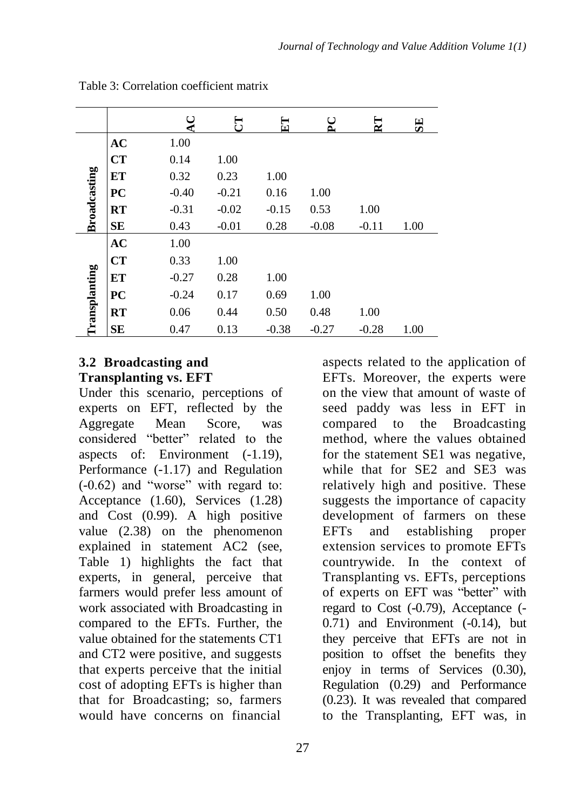|                     |           | ◡       | 틍       | E       | $\mathsf{C}$<br>௳ | $\mathbf{E}$ | 5E   |
|---------------------|-----------|---------|---------|---------|-------------------|--------------|------|
|                     | <b>AC</b> | 1.00    |         |         |                   |              |      |
|                     | CT        | 0.14    | 1.00    |         |                   |              |      |
|                     | ET        | 0.32    | 0.23    | 1.00    |                   |              |      |
|                     | PC        | $-0.40$ | $-0.21$ | 0.16    | 1.00              |              |      |
| <b>Broadcasting</b> | <b>RT</b> | $-0.31$ | $-0.02$ | $-0.15$ | 0.53              | 1.00         |      |
|                     | <b>SE</b> | 0.43    | $-0.01$ | 0.28    | $-0.08$           | $-0.11$      | 1.00 |
| ransplanting        | <b>AC</b> | 1.00    |         |         |                   |              |      |
|                     | CT        | 0.33    | 1.00    |         |                   |              |      |
|                     | ET        | $-0.27$ | 0.28    | 1.00    |                   |              |      |
|                     | PC        | $-0.24$ | 0.17    | 0.69    | 1.00              |              |      |
|                     | <b>RT</b> | 0.06    | 0.44    | 0.50    | 0.48              | 1.00         |      |
|                     | <b>SE</b> | 0.47    | 0.13    | $-0.38$ | $-0.27$           | $-0.28$      | 1.00 |

Table 3: Correlation coefficient matrix

## **3.2 Broadcasting and Transplanting vs. EFT**

Under this scenario, perceptions of experts on EFT, reflected by the Aggregate Mean Score, was considered "better" related to the aspects of: Environment (-1.19), Performance (-1.17) and Regulation  $(-0.62)$  and "worse" with regard to: Acceptance (1.60), Services (1.28) and Cost (0.99). A high positive value (2.38) on the phenomenon explained in statement AC2 (see, Table 1) highlights the fact that experts, in general, perceive that farmers would prefer less amount of work associated with Broadcasting in compared to the EFTs. Further, the value obtained for the statements CT1 and CT2 were positive, and suggests that experts perceive that the initial cost of adopting EFTs is higher than that for Broadcasting; so, farmers would have concerns on financial

aspects related to the application of EFTs. Moreover, the experts were on the view that amount of waste of seed paddy was less in EFT in compared to the Broadcasting method, where the values obtained for the statement SE1 was negative, while that for SE2 and SE3 was relatively high and positive. These suggests the importance of capacity development of farmers on these EFTs and establishing proper extension services to promote EFTs countrywide. In the context of Transplanting vs. EFTs, perceptions of experts on EFT was "better" with regard to Cost (-0.79), Acceptance (- 0.71) and Environment (-0.14), but they perceive that EFTs are not in position to offset the benefits they enjoy in terms of Services (0.30), Regulation (0.29) and Performance (0.23). It was revealed that compared to the Transplanting, EFT was, in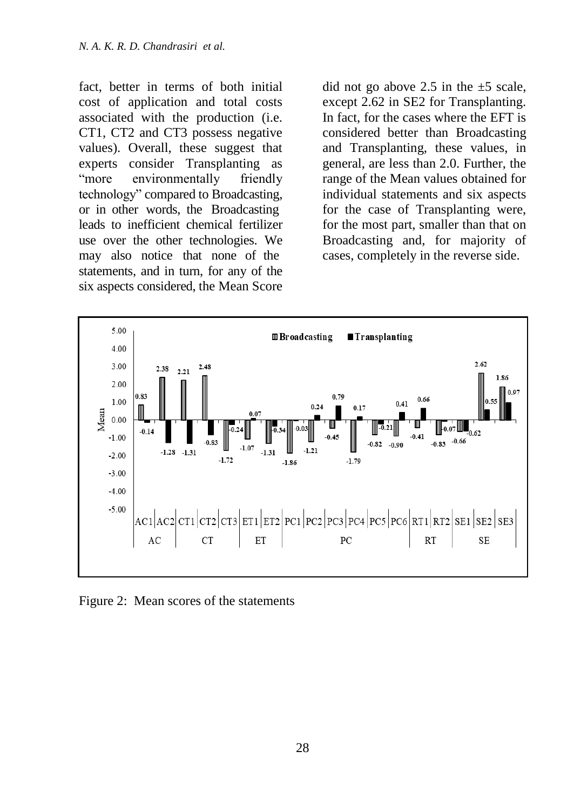fact, better in terms of both initial cost of application and total costs associated with the production (i.e. CT1, CT2 and CT3 possess negative values). Overall, these suggest that experts consider Transplanting as "more environmentally friendly technology" compared to Broadcasting, or in other words, the Broadcasting leads to inefficient chemical fertilizer use over the other technologies. We may also notice that none of the statements, and in turn, for any of the six aspects considered, the Mean Score

did not go above 2.5 in the  $\pm$ 5 scale, except 2.62 in SE2 for Transplanting. In fact, for the cases where the EFT is considered better than Broadcasting and Transplanting, these values, in general, are less than 2.0. Further, the range of the Mean values obtained for individual statements and six aspects for the case of Transplanting were, for the most part, smaller than that on Broadcasting and, for majority of cases, completely in the reverse side.



Figure 2: Mean scores of the statements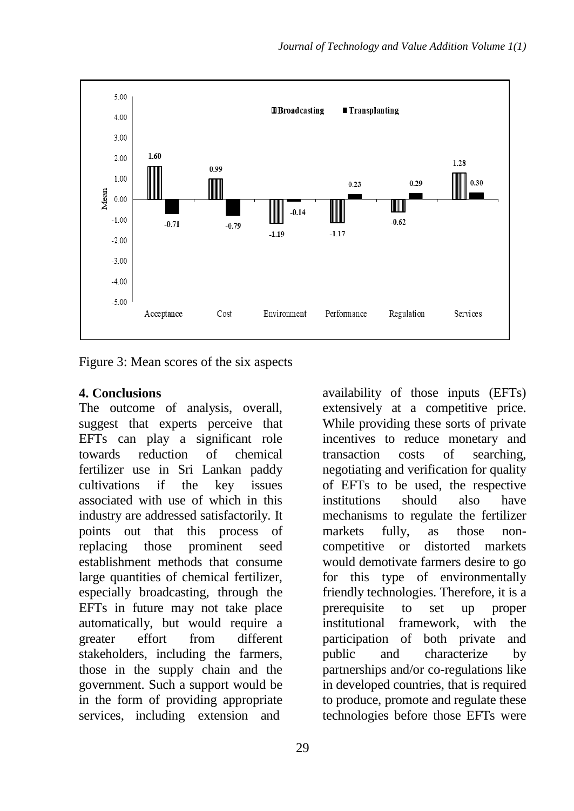

Figure 3: Mean scores of the six aspects

#### **4. Conclusions**

The outcome of analysis, overall, suggest that experts perceive that EFTs can play a significant role towards reduction of chemical fertilizer use in Sri Lankan paddy cultivations if the key issues associated with use of which in this industry are addressed satisfactorily. It points out that this process of replacing those prominent seed establishment methods that consume large quantities of chemical fertilizer, especially broadcasting, through the EFTs in future may not take place automatically, but would require a greater effort from different stakeholders, including the farmers, those in the supply chain and the government. Such a support would be in the form of providing appropriate services, including extension and

availability of those inputs (EFTs) extensively at a competitive price. While providing these sorts of private incentives to reduce monetary and transaction costs of searching, negotiating and verification for quality of EFTs to be used, the respective institutions should also have mechanisms to regulate the fertilizer markets fully, as those noncompetitive or distorted markets would demotivate farmers desire to go for this type of environmentally friendly technologies. Therefore, it is a prerequisite to set up proper institutional framework, with the participation of both private and public and characterize by partnerships and/or co-regulations like in developed countries, that is required to produce, promote and regulate these technologies before those EFTs were